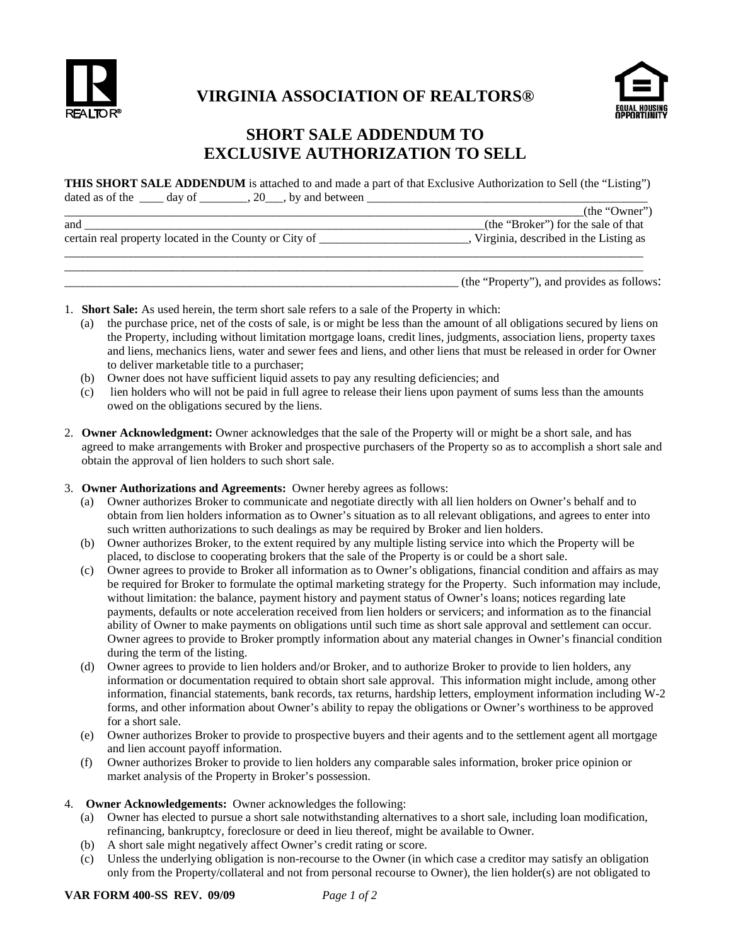

## **VIRGINIA ASSOCIATION OF REALTORS®**



## **SHORT SALE ADDENDUM TO EXCLUSIVE AUTHORIZATION TO SELL**

**THIS SHORT SALE ADDENDUM** is attached to and made a part of that Exclusive Authorization to Sell (the "Listing") dated as of the  $\_\_\_$  day of  $\_\_\_\_$ , 20, by and between  $\_\_\_\_\_\_\_$ 

|                                                        | (the "Owner")                         |
|--------------------------------------------------------|---------------------------------------|
| and                                                    | (the "Broker") for the sale of that   |
| certain real property located in the County or City of | Virginia, described in the Listing as |
|                                                        |                                       |
|                                                        |                                       |

\_\_\_\_\_\_\_\_\_\_\_\_\_\_\_\_\_\_\_\_\_\_\_\_\_\_\_\_\_\_\_\_\_\_\_\_\_\_\_\_\_\_\_\_\_\_\_\_\_\_\_\_\_\_\_\_\_\_\_\_\_\_\_\_\_\_ (the "Property"), and provides as follows:

- 1. **Short Sale:** As used herein, the term short sale refers to a sale of the Property in which:
	- (a) the purchase price, net of the costs of sale, is or might be less than the amount of all obligations secured by liens on the Property, including without limitation mortgage loans, credit lines, judgments, association liens, property taxes and liens, mechanics liens, water and sewer fees and liens, and other liens that must be released in order for Owner to deliver marketable title to a purchaser;
	- (b) Owner does not have sufficient liquid assets to pay any resulting deficiencies; and
	- (c) lien holders who will not be paid in full agree to release their liens upon payment of sums less than the amounts owed on the obligations secured by the liens.
- 2. **Owner Acknowledgment:** Owner acknowledges that the sale of the Property will or might be a short sale, and has agreed to make arrangements with Broker and prospective purchasers of the Property so as to accomplish a short sale and obtain the approval of lien holders to such short sale.
- 3. **Owner Authorizations and Agreements:** Owner hereby agrees as follows:
	- (a) Owner authorizes Broker to communicate and negotiate directly with all lien holders on Owner's behalf and to obtain from lien holders information as to Owner's situation as to all relevant obligations, and agrees to enter into such written authorizations to such dealings as may be required by Broker and lien holders.
	- (b) Owner authorizes Broker, to the extent required by any multiple listing service into which the Property will be placed, to disclose to cooperating brokers that the sale of the Property is or could be a short sale.
	- (c) Owner agrees to provide to Broker all information as to Owner's obligations, financial condition and affairs as may be required for Broker to formulate the optimal marketing strategy for the Property. Such information may include, without limitation: the balance, payment history and payment status of Owner's loans; notices regarding late payments, defaults or note acceleration received from lien holders or servicers; and information as to the financial ability of Owner to make payments on obligations until such time as short sale approval and settlement can occur. Owner agrees to provide to Broker promptly information about any material changes in Owner's financial condition during the term of the listing.
	- (d) Owner agrees to provide to lien holders and/or Broker, and to authorize Broker to provide to lien holders, any information or documentation required to obtain short sale approval. This information might include, among other information, financial statements, bank records, tax returns, hardship letters, employment information including W-2 forms, and other information about Owner's ability to repay the obligations or Owner's worthiness to be approved for a short sale.
	- (e) Owner authorizes Broker to provide to prospective buyers and their agents and to the settlement agent all mortgage and lien account payoff information.
	- (f) Owner authorizes Broker to provide to lien holders any comparable sales information, broker price opinion or market analysis of the Property in Broker's possession.
- 4. **Owner Acknowledgements:** Owner acknowledges the following:
	- (a) Owner has elected to pursue a short sale notwithstanding alternatives to a short sale, including loan modification, refinancing, bankruptcy, foreclosure or deed in lieu thereof, might be available to Owner.
	- (b) A short sale might negatively affect Owner's credit rating or score.
	- (c) Unless the underlying obligation is non-recourse to the Owner (in which case a creditor may satisfy an obligation only from the Property/collateral and not from personal recourse to Owner), the lien holder(s) are not obligated to